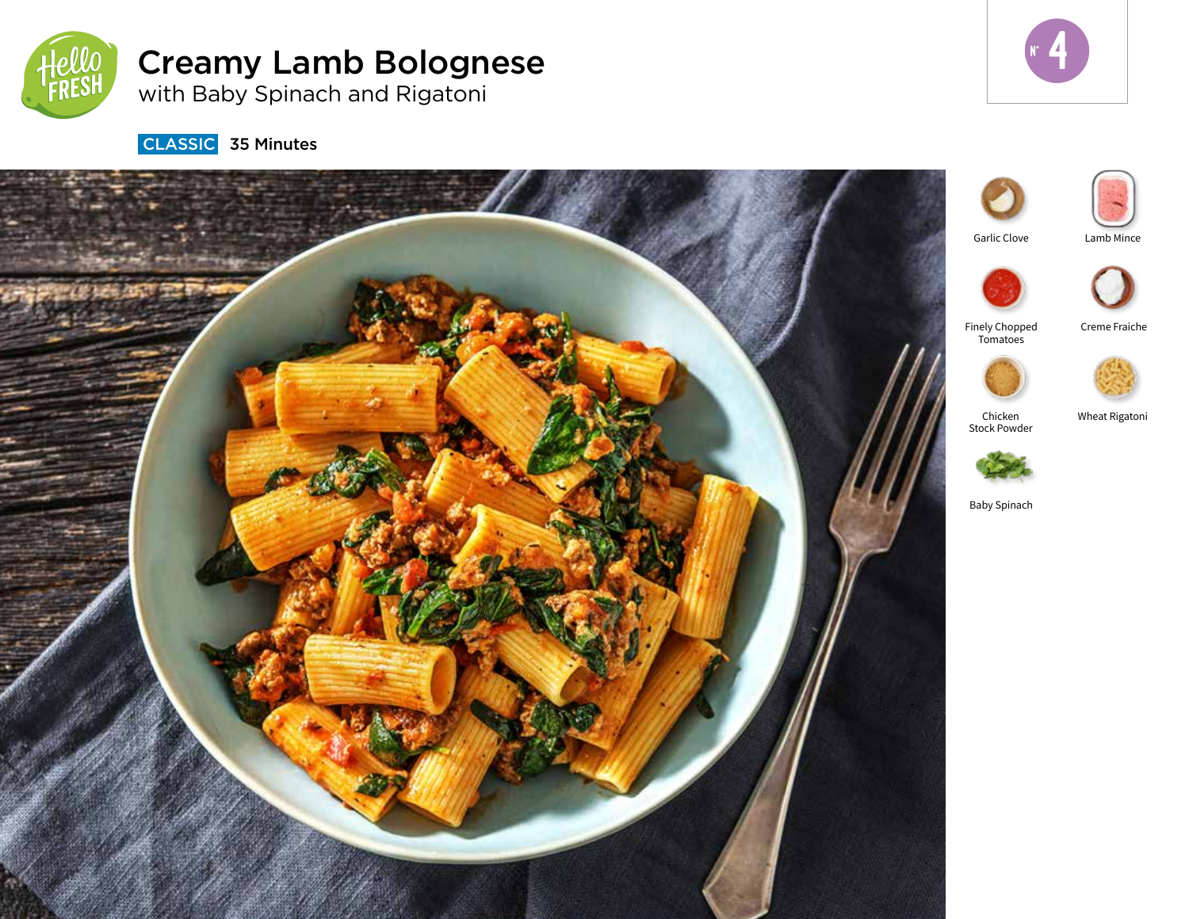

# Creamy Lamb Bolognese

with Baby Spinach and Rigatoni



**CLASSIC** 35 Minutes